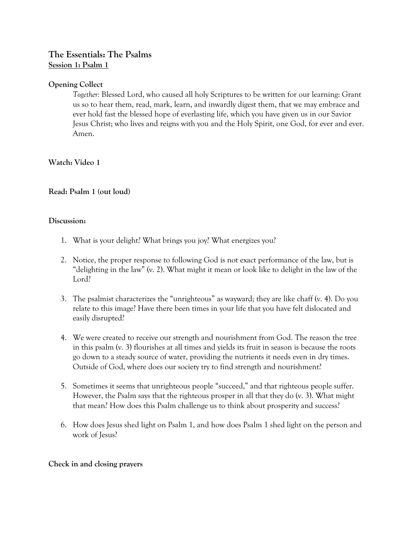# **The Essentials: The Psalms Session 1: Psalm 1**

# **Opening Collect**

*Together:* Blessed Lord, who caused all holy Scriptures to be written for our learning: Grant us so to hear them, read, mark, learn, and inwardly digest them, that we may embrace and ever hold fast the blessed hope of everlasting life, which you have given us in our Savior Jesus Christ; who lives and reigns with you and the Holy Spirit, one God, for ever and ever. Amen.

**Watch: Video 1** 

# **Read: Psalm 1 (out loud)**

#### **Discussion:**

- 1. What is your delight? What brings you joy? What energizes you?
- 2. Notice, the proper response to following God is not exact performance of the law, but is "delighting in the law" (v. 2). What might it mean or look like to delight in the law of the Lord?
- 3. The psalmist characterizes the "unrighteous" as wayward; they are like chaff (v. 4). Do you relate to this image? Have there been times in your life that you have felt dislocated and easily disrupted?
- 4. We were created to receive our strength and nourishment from God. The reason the tree in this psalm (v. 3) flourishes at all times and yields its fruit in season is because the roots go down to a steady source of water, providing the nutrients it needs even in dry times. Outside of God, where does our society try to find strength and nourishment?
- 5. Sometimes it seems that unrighteous people "succeed," and that righteous people suffer. However, the Psalm says that the righteous prosper in all that they do (v. 3). What might that mean? How does this Psalm challenge us to think about prosperity and success?
- 6. How does Jesus shed light on Psalm 1, and how does Psalm 1 shed light on the person and work of Jesus?

# **Check in and closing prayers**